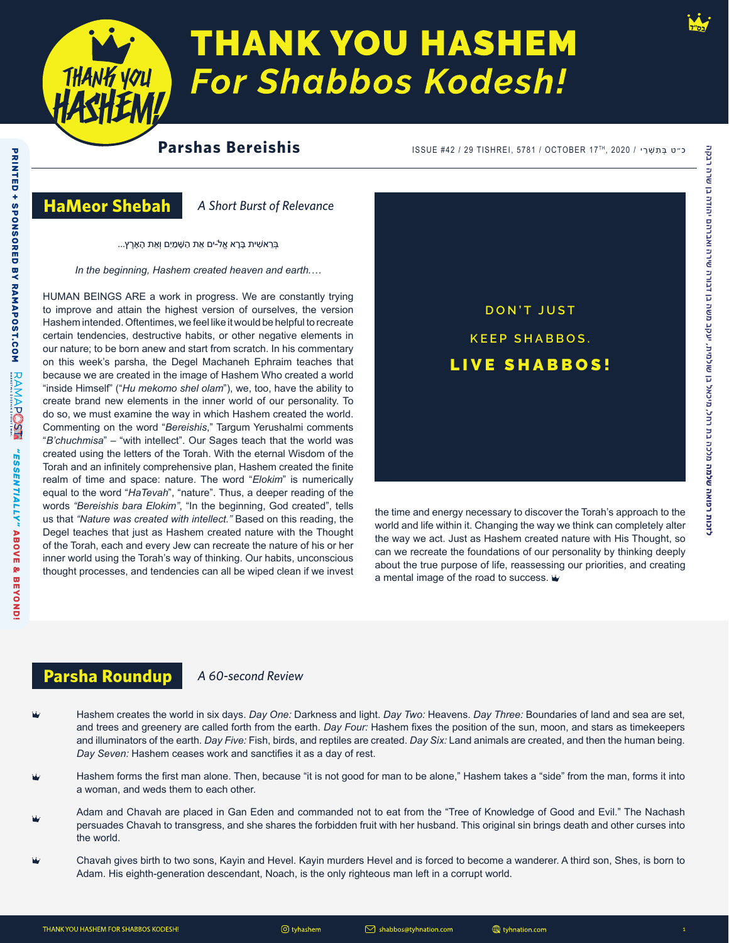

# **THANK YOU HASHEM For Shabbos Kodesh!**

# **Parshas Bereishis**

כ״ט בְּתִשְׁרֵי / 2020 ,TISHREI, 5781 / OCTOBER 17TH, 2020

### **HaMeor Shebah**

*A Short Burst of Relevance*

ּבְ רֵ אׁשִ ית ּבָרָ א אֱל-ֹים אֵ ת הַ ּׁשָ מַ יִם וְאֵ ת הָ אָ רֶ ץ...

*In the beginning, Hashem created heaven and earth.…*

HUMAN BEINGS ARE a work in progress. We are constantly trying to improve and attain the highest version of ourselves, the version Hashem intended. Oftentimes, we feel like it would be helpful to recreate certain tendencies, destructive habits, or other negative elements in our nature; to be born anew and start from scratch. In his commentary on this week's parsha, the Degel Machaneh Ephraim teaches that because we are created in the image of Hashem Who created a world "inside Himself" ("*Hu mekomo shel olam*"), we, too, have the ability to create brand new elements in the inner world of our personality. To do so, we must examine the way in which Hashem created the world. Commenting on the word "*Bereishis*," Targum Yerushalmi comments "*B'chuchmisa*" – "with intellect". Our Sages teach that the world was created using the letters of the Torah. With the eternal Wisdom of the Torah and an infinitely comprehensive plan, Hashem created the finite realm of time and space: nature. The word "*Elokim*" is numerically equal to the word "*HaTevah*", "nature". Thus, a deeper reading of the words *"Bereishis bara Elokim"*, "In the beginning, God created", tells us that *"Nature was created with intellect."* Based on this reading, the Degel teaches that just as Hashem created nature with the Thought of the Torah, each and every Jew can recreate the nature of his or her inner world using the Torah's way of thinking. Our habits, unconscious thought processes, and tendencies can all be wiped clean if we invest



the time and energy necessary to discover the Torah's approach to the world and life within it. Changing the way we think can completely alter the way we act. Just as Hashem created nature with His Thought, so can we recreate the foundations of our personality by thinking deeply about the true purpose of life, reassessing our priorities, and creating a mental image of the road to success.

### **Parsha Roundup** *A 60-second Review*

- Hashem creates the world in six days. *Day One:* Darkness and light. *Day Two:* Heavens. *Day Three:* Boundaries of land and sea are set, and trees and greenery are called forth from the earth. *Day Four:* Hashem fixes the position of the sun, moon, and stars as timekeepers and illuminators of the earth. *Day Five:* Fish, birds, and reptiles are created. *Day Six:* Land animals are created, and then the human being. *Day Seven:* Hashem ceases work and sanctifies it as a day of rest.
- Hashem forms the first man alone. Then, because "it is not good for man to be alone," Hashem takes a "side" from the man, forms it into a woman, and weds them to each other.
- Adam and Chavah are placed in Gan Eden and commanded not to eat from the "Tree of Knowledge of Good and Evil." The Nachash persuades Chavah to transgress, and she shares the forbidden fruit with her husband. This original sin brings death and other curses into the world.
- Chavah gives birth to two sons, Kayin and Hevel. Kayin murders Hevel and is forced to become a wanderer. A third son, Shes, is born to Adam. His eighth-generation descendant, Noach, is the only righteous man left in a corrupt world.

**לזכות רפואה שלמה** מלכה בת רחל, מיכאל בן שולמית, יעקב משה בן דבורה שירה ואברהם יהודה בן שרה רבקה

לזכות רפואה שלמה מלכה בת רחל, מיכאל בן שולמית, יעקב משה בן דבורה שירה ואברהם יהודה בן שרה רבקה

tyhnation.com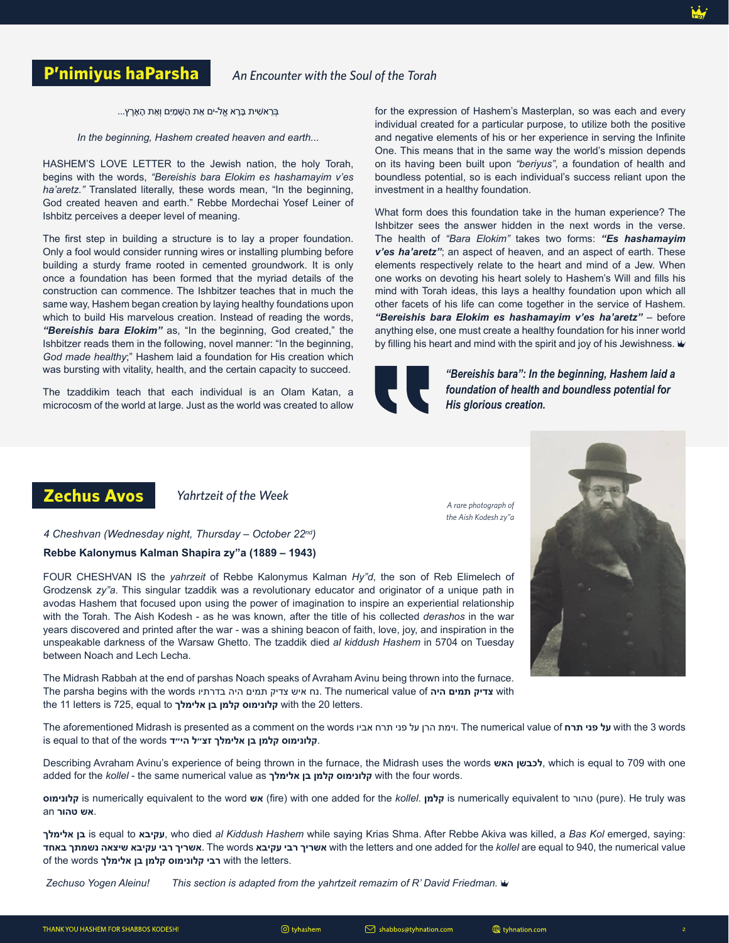**P'nimiyus haParsha** *An Encounter with the Soul of the Torah*

ָ בְּרֵאשִׁית בָּרָא אֱל-ים אֵת הַשָּׁמַיִם וְאֵת הָאָרֶץ...

*In the beginning, Hashem created heaven and earth...*

HASHEM'S LOVE LETTER to the Jewish nation, the holy Torah, begins with the words, *"Bereishis bara Elokim es hashamayim v'es ha'aretz."* Translated literally, these words mean, "In the beginning, God created heaven and earth." Rebbe Mordechai Yosef Leiner of Ishbitz perceives a deeper level of meaning.

The first step in building a structure is to lay a proper foundation. Only a fool would consider running wires or installing plumbing before building a sturdy frame rooted in cemented groundwork. It is only once a foundation has been formed that the myriad details of the construction can commence. The Ishbitzer teaches that in much the same way, Hashem began creation by laying healthy foundations upon which to build His marvelous creation. Instead of reading the words, *"Bereishis bara Elokim"* as, "In the beginning, God created," the Ishbitzer reads them in the following, novel manner: "In the beginning, *God made healthy*;" Hashem laid a foundation for His creation which was bursting with vitality, health, and the certain capacity to succeed.

The tzaddikim teach that each individual is an Olam Katan, a microcosm of the world at large. Just as the world was created to allow for the expression of Hashem's Masterplan, so was each and every individual created for a particular purpose, to utilize both the positive and negative elements of his or her experience in serving the Infinite One. This means that in the same way the world's mission depends on its having been built upon *"beriyus"*, a foundation of health and boundless potential, so is each individual's success reliant upon the investment in a healthy foundation.

What form does this foundation take in the human experience? The Ishbitzer sees the answer hidden in the next words in the verse. The health of *"Bara Elokim"* takes two forms: *"Es hashamayim v'es ha'aretz"*; an aspect of heaven, and an aspect of earth. These elements respectively relate to the heart and mind of a Jew. When one works on devoting his heart solely to Hashem's Will and fills his mind with Torah ideas, this lays a healthy foundation upon which all other facets of his life can come together in the service of Hashem. *"Bereishis bara Elokim es hashamayim v'es ha'aretz"* – before anything else, one must create a healthy foundation for his inner world by filling his heart and mind with the spirit and joy of his Jewishness.  $\dot{w}$ 



*"Bereishis bara": In the beginning, Hashem laid a foundation of health and boundless potential for His glorious creation.*

# **Zechus Avos** *Yahrtzeit of the Week*

*A rare photograph of the Aish Kodesh zy"a*



**Rebbe Kalonymus Kalman Shapira zy"a (1889 – 1943)** *4 Cheshvan (Wednesday night, Thursday – October 22nd)* 

FOUR CHESHVAN IS the *yahrzeit* of Rebbe Kalonymus Kalman *Hy"d*, the son of Reb Elimelech of Grodzensk *zy"a*. This singular tzaddik was a revolutionary educator and originator of a unique path in avodas Hashem that focused upon using the power of imagination to inspire an experiential relationship with the Torah. The Aish Kodesh - as he was known, after the title of his collected *derashos* in the war years discovered and printed after the war - was a shining beacon of faith, love, joy, and inspiration in the unspeakable darkness of the Warsaw Ghetto. The tzaddik died *al kiddush Hashem* in 5704 on Tuesday between Noach and Lech Lecha.

The Midrash Rabbah at the end of parshas Noach speaks of Avraham Avinu being thrown into the furnace. The parsha begins with the words בדרתיו היה תמים צדיק איש נח. The numerical value of **היה תמים צדיק** with the 11 letters is 725, equal to **אלימלך בן קלמן קלונימוס** with the 20 letters.

The aforementioned Midrash is presented as a comment on the words אביו תרח פני על הרן וימת. The numerical value of **תרח פני על** with the 3 words is equal to that of the words **הי״ד זצ״ל אלימלך בן קלמן קלונימוס**.

Describing Avraham Avinu's experience of being thrown in the furnace, the Midrash uses the words **האש לכבשן**, which is equal to 709 with one added for the *kollel* - the same numerical value as **אלימלך בן קלמן קלונימוס** with the four words.

**קלונימוס** is numerically equivalent to the word **אש**) fire) with one added for the *kollel*. **קלמן** is numerically equivalent to טהור) pure). He truly was .**אש טהור** an

**אלימלך בן** is equal to **עקיבא**, who died *al Kiddush Hashem* while saying Krias Shma. After Rebbe Akiva was killed, a *Bas Kol* emerged, saying: **באחד נשמתך שיצאה עקיבא רבי אשריך**. The words **עקיבא רבי אשריך** with the letters and one added for the *kollel* are equal to 940, the numerical value of the words **אלימלך בן קלמן קלונימוס רבי** with the letters.

*Zechuso Yogen Aleinu! This section is adapted from the yahrtzeit remazim of R' David Friedman.*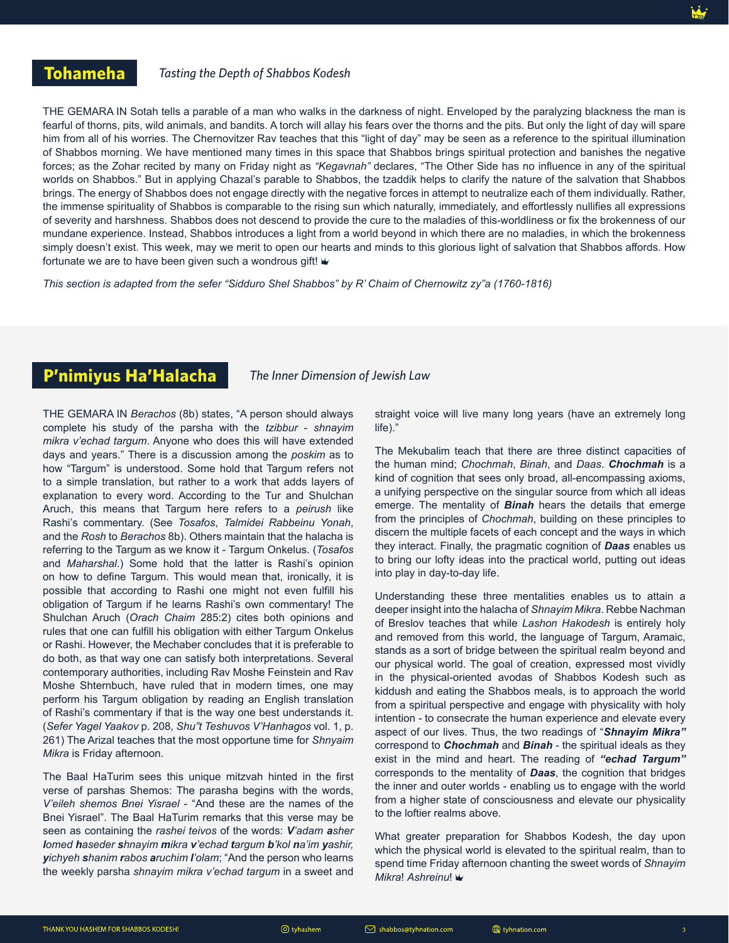#### *Tasting the Depth of Shabbos Kodesh*

THE GEMARA IN Sotah tells a parable of a man who walks in the darkness of night. Enveloped by the paralyzing blackness the man is fearful of thorns, pits, wild animals, and bandits. A torch will allay his fears over the thorns and the pits. But only the light of day will spare him from all of his worries. The Chernovitzer Rav teaches that this "light of day" may be seen as a reference to the spiritual illumination of Shabbos morning. We have mentioned many times in this space that Shabbos brings spiritual protection and banishes the negative forces; as the Zohar recited by many on Friday night as *"Kegavnah"* declares, "The Other Side has no influence in any of the spiritual worlds on Shabbos." But in applying Chazal's parable to Shabbos, the tzaddik helps to clarify the nature of the salvation that Shabbos brings. The energy of Shabbos does not engage directly with the negative forces in attempt to neutralize each of them individually. Rather, the immense spirituality of Shabbos is comparable to the rising sun which naturally, immediately, and effortlessly nullifies all expressions of severity and harshness. Shabbos does not descend to provide the cure to the maladies of this-worldliness or fix the brokenness of our mundane experience. Instead, Shabbos introduces a light from a world beyond in which there are no maladies, in which the brokenness simply doesn't exist. This week, may we merit to open our hearts and minds to this glorious light of salvation that Shabbos affords. How fortunate we are to have been given such a wondrous gift!  $\ddot{w}$ 

*This section is adapted from the sefer "Sidduro Shel Shabbos" by R' Chaim of Chernowitz zy"a (1760-1816)*

# **P'nimiyus Ha'Halacha**

*The Inner Dimension of Jewish Law*

THE GEMARA IN *Berachos* (8b) states, "A person should always complete his study of the parsha with the *tzibbur* - *shnayim mikra v'echad targum*. Anyone who does this will have extended days and years." There is a discussion among the *poskim* as to how "Targum" is understood. Some hold that Targum refers not to a simple translation, but rather to a work that adds layers of explanation to every word. According to the Tur and Shulchan Aruch, this means that Targum here refers to a *peirush* like Rashi's commentary. (See *Tosafos*, *Talmidei Rabbeinu Yonah*, and the *Rosh* to *Berachos* 8b). Others maintain that the halacha is referring to the Targum as we know it - Targum Onkelus. (*Tosafos* and *Maharshal*.) Some hold that the latter is Rashi's opinion on how to define Targum. This would mean that, ironically, it is possible that according to Rashi one might not even fulfill his obligation of Targum if he learns Rashi's own commentary! The Shulchan Aruch (*Orach Chaim* 285:2) cites both opinions and rules that one can fulfill his obligation with either Targum Onkelus or Rashi. However, the Mechaber concludes that it is preferable to do both, as that way one can satisfy both interpretations. Several contemporary authorities, including Rav Moshe Feinstein and Rav Moshe Shternbuch, have ruled that in modern times, one may perform his Targum obligation by reading an English translation of Rashi's commentary if that is the way one best understands it. (*Sefer Yagel Yaakov* p. 208, *Shu"t Teshuvos V'Hanhagos* vol. 1, p. 261) The Arizal teaches that the most opportune time for *Shnyaim Mikra* is Friday afternoon.

The Baal HaTurim sees this unique mitzvah hinted in the first verse of parshas Shemos: The parasha begins with the words, *V'eileh shemos Bnei Yisrael* - "And these are the names of the Bnei Yisrael". The Baal HaTurim remarks that this verse may be seen as containing the *rashei teivos* of the words: *V'adam asher lomed haseder shnayim mikra v'echad targum b'kol na'im yashir, yichyeh shanim rabos aruchim l'olam*; "And the person who learns the weekly parsha *shnayim mikra v'echad targum* in a sweet and

straight voice will live many long years (have an extremely long life)."

The Mekubalim teach that there are three distinct capacities of the human mind; *Chochmah*, *Binah*, and *Daas*. *Chochmah* is a kind of cognition that sees only broad, all-encompassing axioms, a unifying perspective on the singular source from which all ideas emerge. The mentality of *Binah* hears the details that emerge from the principles of *Chochmah*, building on these principles to discern the multiple facets of each concept and the ways in which they interact. Finally, the pragmatic cognition of *Daas* enables us to bring our lofty ideas into the practical world, putting out ideas into play in day-to-day life.

Understanding these three mentalities enables us to attain a deeper insight into the halacha of *Shnayim Mikra*. Rebbe Nachman of Breslov teaches that while *Lashon Hakodesh* is entirely holy and removed from this world, the language of Targum, Aramaic, stands as a sort of bridge between the spiritual realm beyond and our physical world. The goal of creation, expressed most vividly in the physical-oriented avodas of Shabbos Kodesh such as kiddush and eating the Shabbos meals, is to approach the world from a spiritual perspective and engage with physicality with holy intention - to consecrate the human experience and elevate every aspect of our lives. Thus, the two readings of "*Shnayim Mikra"* correspond to *Chochmah* and *Binah* - the spiritual ideals as they exist in the mind and heart. The reading of *"echad Targum"*  corresponds to the mentality of *Daas*, the cognition that bridges the inner and outer worlds - enabling us to engage with the world from a higher state of consciousness and elevate our physicality to the loftier realms above.

What greater preparation for Shabbos Kodesh, the day upon which the physical world is elevated to the spiritual realm, than to spend time Friday afternoon chanting the sweet words of *Shnayim Mikra*! *Ashreinu*!